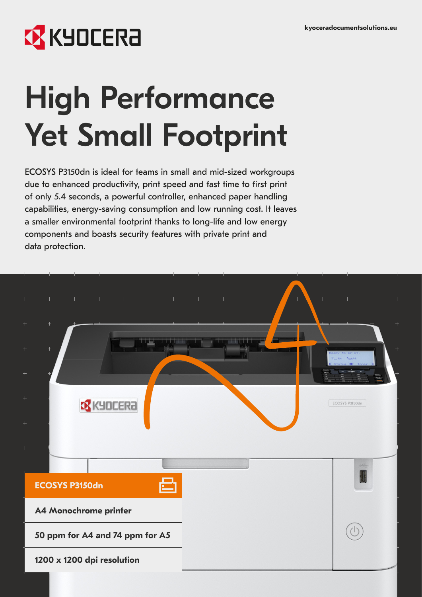## **EX KYOCERA**

# High Performance Yet Small Footprint

ECOSYS P3150dn is ideal for teams in small and mid-sized workgroups due to enhanced productivity, print speed and fast time to first print of only 5.4 seconds, a powerful controller, enhanced paper handling capabilities, energy-saving consumption and low running cost. It leaves a smaller environmental footprint thanks to long-life and low energy components and boasts security features with private print and data protection.